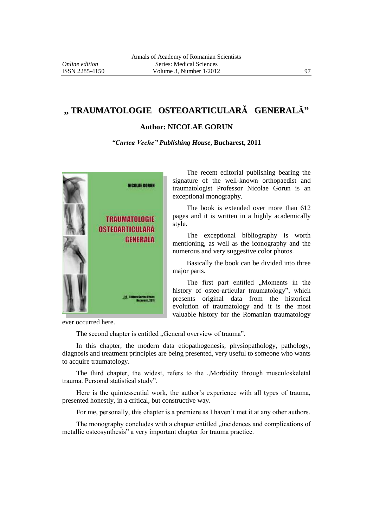## **,, TRAUMATOLOGIE OSTEOARTICULARĂ GENERALĂ"**

## **Author: NICOLAE GORUN**

*"Curtea Veche" Publishing House***, Bucharest, 2011**



The recent editorial publishing bearing the signature of the well-known orthopaedist and traumatologist Professor Nicolae Gorun is an exceptional monography.

The book is extended over more than 612 pages and it is written in a highly academically style.

The exceptional bibliography is worth mentioning, as well as the iconography and the numerous and very suggestive color photos.

Basically the book can be divided into three major parts.

The first part entitled "Moments in the history of osteo-articular traumatology", which presents original data from the historical evolution of traumatology and it is the most valuable history for the Romanian traumatology

ever occurred here.

The second chapter is entitled "General overview of trauma".

In this chapter, the modern data etiopathogenesis, physiopathology, pathology, diagnosis and treatment principles are being presented, very useful to someone who wants to acquire traumatology.

The third chapter, the widest, refers to the "Morbidity through musculoskeletal trauma. Personal statistical study".

Here is the quintessential work, the author's experience with all types of trauma, presented honestly, in a critical, but constructive way.

For me, personally, this chapter is a premiere as I haven't met it at any other authors.

The monography concludes with a chapter entitled "incidences and complications of metallic osteosynthesis" a very important chapter for trauma practice.